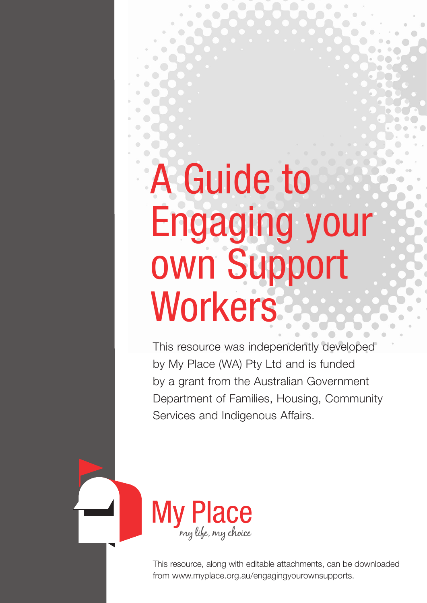# A Guide to Engaging your own Support Workers

This resource was independently developed by My Place (WA) Pty Ltd and is funded by a grant from the Australian Government Department of Families, Housing, Community Services and Indigenous Affairs.



This resource, along with editable attachments, can be downloaded from www.myplace.org.au/engagingyourownsupports.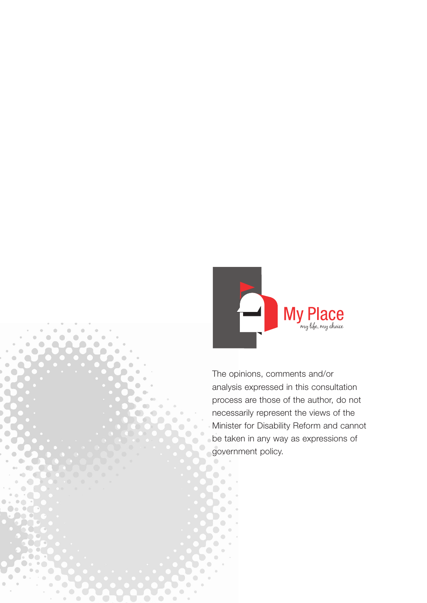

a

The opinions, comments and/or analysis expressed in this consultation process are those of the author, do not necessarily represent the views of the Minister for Disability Reform and cannot be taken in any way as expressions of government policy.

 $\circ$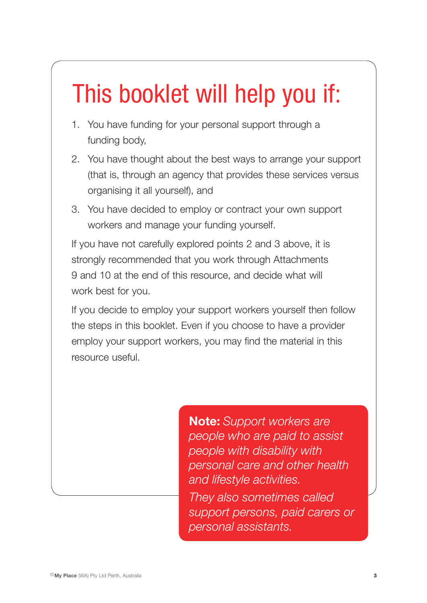# This booklet will help you if:

- 1. You have funding for your personal support through a funding body,
- 2. You have thought about the best ways to arrange your support (that is, through an agency that provides these services versus organising it all yourself), and
- 3. You have decided to employ or contract your own support workers and manage your funding yourself.

If you have not carefully explored points 2 and 3 above, it is strongly recommended that you work through Attachments 9 and 10 at the end of this resource, and decide what will work best for you.

If you decide to employ your support workers yourself then follow the steps in this booklet. Even if you choose to have a provider employ your support workers, you may find the material in this resource useful.

> **Note:** *Support workers are people who are paid to assist people with disability with personal care and other health and lifestyle activities. They also sometimes called support persons, paid carers or personal assistants.*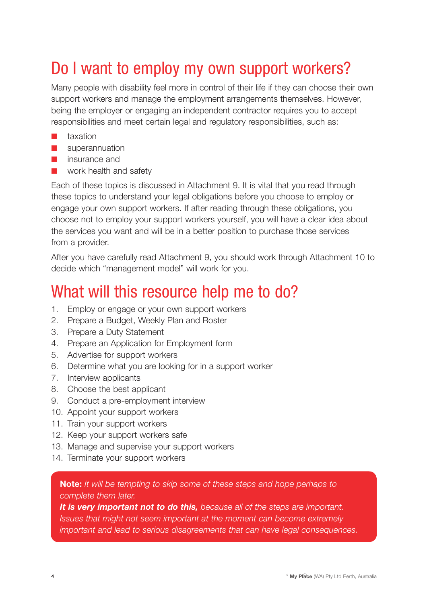### Do I want to employ my own support workers?

Many people with disability feel more in control of their life if they can choose their own support workers and manage the employment arrangements themselves. However, being the employer or engaging an independent contractor requires you to accept responsibilities and meet certain legal and regulatory responsibilities, such as:

- **n** taxation
- $\blacksquare$  superannuation
- insurance and
- work health and safety

Each of these topics is discussed in Attachment 9. It is vital that you read through these topics to understand your legal obligations before you choose to employ or engage your own support workers. If after reading through these obligations, you choose not to employ your support workers yourself, you will have a clear idea about the services you want and will be in a better position to purchase those services from a provider.

After you have carefully read Attachment 9, you should work through Attachment 10 to decide which "management model" will work for you.

### What will this resource help me to do?

- 1. Employ or engage or your own support workers
- 2. Prepare a Budget, Weekly Plan and Roster
- 3. Prepare a Duty Statement
- 4. Prepare an Application for Employment form
- 5. Advertise for support workers
- 6. Determine what you are looking for in a support worker
- 7. Interview applicants
- 8. Choose the best applicant
- 9. Conduct a pre-employment interview
- 10. Appoint your support workers
- 11. Train your support workers
- 12. Keep your support workers safe
- 13. Manage and supervise your support workers
- 14. Terminate your support workers

**Note:** *It will be tempting to skip some of these steps and hope perhaps to complete them later.*

*It is very important not to do this, because all of the steps are important. Issues that might not seem important at the moment can become extremely important and lead to serious disagreements that can have legal consequences.*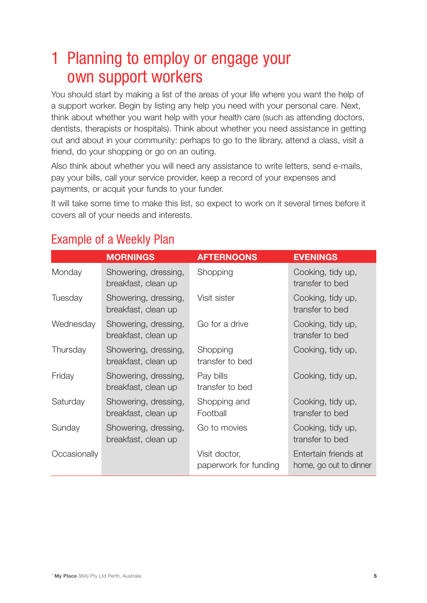### 1 Planning to employ or engage your own support workers

You should start by making a list of the areas of your life where you want the help of a support worker. Begin by listing any help you need with your personal care. Next, think about whether you want help with your health care (such as attending doctors, dentists, therapists or hospitals). Think about whether you need assistance in getting out and about in your community: perhaps to go to the library, attend a class, visit a friend, do your shopping or go on an outing.

Also think about whether you will need any assistance to write letters, send e-mails, pay your bills, call your service provider, keep a record of your expenses and payments, or acquit your funds to your funder.

It will take some time to make this list, so expect to work on it several times before it covers all of your needs and interests.

|              | <b>MORNINGS</b>                             | <b>AFTERNOONS</b>                      | <b>EVENINGS</b>                                |
|--------------|---------------------------------------------|----------------------------------------|------------------------------------------------|
| Monday       | Showering, dressing,<br>breakfast, clean up | Shopping                               | Cooking, tidy up,<br>transfer to bed           |
| Tuesday      | Showering, dressing,<br>breakfast, clean up | Visit sister                           | Cooking, tidy up,<br>transfer to bed           |
| Wednesday    | Showering, dressing,<br>breakfast, clean up | Go for a drive                         | Cooking, tidy up,<br>transfer to bed           |
| Thursday     | Showering, dressing,<br>breakfast, clean up | Shopping<br>transfer to bed            | Cooking, tidy up,                              |
| Friday       | Showering, dressing,<br>breakfast, clean up | Pay bills<br>transfer to bed           | Cooking, tidy up,                              |
| Saturday     | Showering, dressing,<br>breakfast, clean up | Shopping and<br>Football               | Cooking, tidy up,<br>transfer to bed           |
| Sunday       | Showering, dressing,<br>breakfast, clean up | Go to movies                           | Cooking, tidy up,<br>transfer to bed           |
| Occasionally |                                             | Visit doctor,<br>paperwork for funding | Entertain friends at<br>home, go out to dinner |

### Example of a Weekly Plan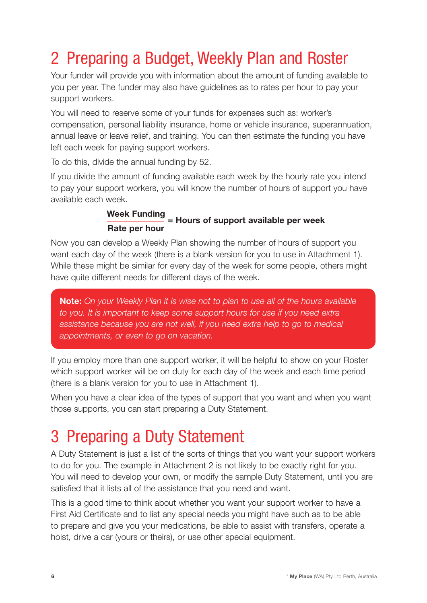## 2 Preparing a Budget, Weekly Plan and Roster

Your funder will provide you with information about the amount of funding available to you per year. The funder may also have guidelines as to rates per hour to pay your support workers.

You will need to reserve some of your funds for expenses such as: worker's compensation, personal liability insurance, home or vehicle insurance, superannuation, annual leave or leave relief, and training. You can then estimate the funding you have left each week for paying support workers.

To do this, divide the annual funding by 52.

If you divide the amount of funding available each week by the hourly rate you intend to pay your support workers, you will know the number of hours of support you have available each week.

### **Week Funding = Hours of support available per week Rate per hour**

Now you can develop a Weekly Plan showing the number of hours of support you want each day of the week (there is a blank version for you to use in Attachment 1). While these might be similar for every day of the week for some people, others might have quite different needs for different days of the week.

**Note:** *On your Weekly Plan it is wise not to plan to use all of the hours available to you. It is important to keep some support hours for use if you need extra assistance because you are not well, if you need extra help to go to medical appointments, or even to go on vacation.*

If you employ more than one support worker, it will be helpful to show on your Roster which support worker will be on duty for each day of the week and each time period (there is a blank version for you to use in Attachment 1).

When you have a clear idea of the types of support that you want and when you want those supports, you can start preparing a Duty Statement.

### 3 Preparing a Duty Statement

A Duty Statement is just a list of the sorts of things that you want your support workers to do for you. The example in Attachment 2 is not likely to be exactly right for you. You will need to develop your own, or modify the sample Duty Statement, until you are satisfied that it lists all of the assistance that you need and want.

This is a good time to think about whether you want your support worker to have a First Aid Certificate and to list any special needs you might have such as to be able to prepare and give you your medications, be able to assist with transfers, operate a hoist, drive a car (yours or theirs), or use other special equipment.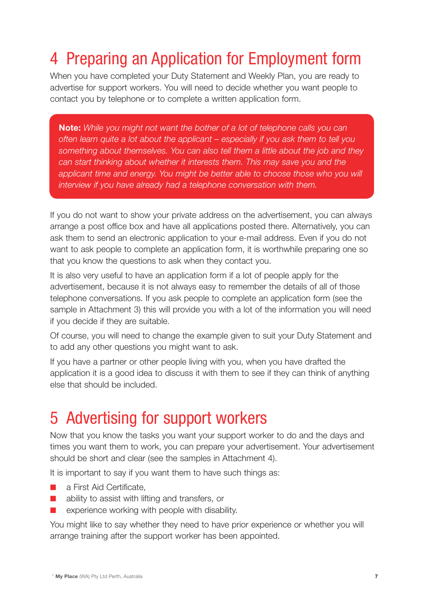# 4 Preparing an Application for Employment form

When you have completed your Duty Statement and Weekly Plan, you are ready to advertise for support workers. You will need to decide whether you want people to contact you by telephone or to complete a written application form.

**Note:** *While you might not want the bother of a lot of telephone calls you can often learn quite a lot about the applicant – especially if you ask them to tell you something about themselves. You can also tell them a little about the job and they can start thinking about whether it interests them. This may save you and the*  applicant time and energy. You might be better able to choose those who you will *interview if you have already had a telephone conversation with them.*

If you do not want to show your private address on the advertisement, you can always arrange a post office box and have all applications posted there. Alternatively, you can ask them to send an electronic application to your e-mail address. Even if you do not want to ask people to complete an application form, it is worthwhile preparing one so that you know the questions to ask when they contact you.

It is also very useful to have an application form if a lot of people apply for the advertisement, because it is not always easy to remember the details of all of those telephone conversations. If you ask people to complete an application form (see the sample in Attachment 3) this will provide you with a lot of the information you will need if you decide if they are suitable.

Of course, you will need to change the example given to suit your Duty Statement and to add any other questions you might want to ask.

If you have a partner or other people living with you, when you have drafted the application it is a good idea to discuss it with them to see if they can think of anything else that should be included.

### 5 Advertising for support workers

Now that you know the tasks you want your support worker to do and the days and times you want them to work, you can prepare your advertisement. Your advertisement should be short and clear (see the samples in Attachment 4).

It is important to say if you want them to have such things as:

- a First Aid Certificate.
- $\blacksquare$  ability to assist with lifting and transfers, or
- experience working with people with disability.

You might like to say whether they need to have prior experience or whether you will arrange training after the support worker has been appointed.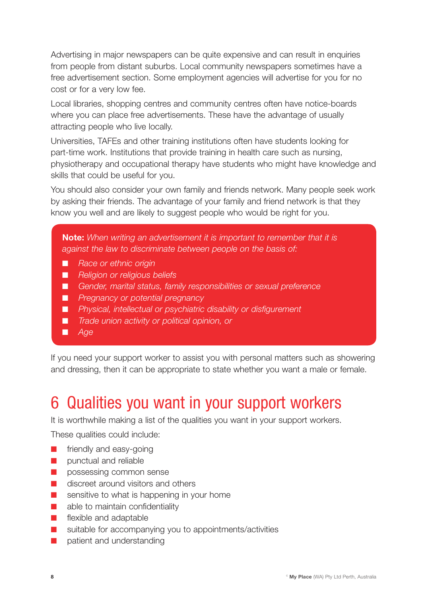Advertising in major newspapers can be quite expensive and can result in enquiries from people from distant suburbs. Local community newspapers sometimes have a free advertisement section. Some employment agencies will advertise for you for no cost or for a very low fee.

Local libraries, shopping centres and community centres often have notice-boards where you can place free advertisements. These have the advantage of usually attracting people who live locally.

Universities, TAFEs and other training institutions often have students looking for part-time work. Institutions that provide training in health care such as nursing, physiotherapy and occupational therapy have students who might have knowledge and skills that could be useful for you.

You should also consider your own family and friends network. Many people seek work by asking their friends. The advantage of your family and friend network is that they know you well and are likely to suggest people who would be right for you.

| Note: When writing an advertisement it is important to remember that it is<br>against the law to discriminate between people on the basis of:                                                                                                                                                             |
|-----------------------------------------------------------------------------------------------------------------------------------------------------------------------------------------------------------------------------------------------------------------------------------------------------------|
| Race or ethnic origin<br>ш<br>Religion or religious beliefs<br>Gender, marital status, family responsibilities or sexual preference<br>Pregnancy or potential pregnancy<br>Physical, intellectual or psychiatric disability or disfigurement<br>ш<br>Trade union activity or political opinion, or<br>Age |
| f you need your support worker to assist you with personal matters such as showerir                                                                                                                                                                                                                       |

If you need your support worker to assist you with personal matters such as showering and dressing, then it can be appropriate to state whether you want a male or female.

### 6 Qualities you want in your support workers

It is worthwhile making a list of the qualities you want in your support workers.

These qualities could include:

- $\blacksquare$  friendly and easy-going
- $\blacksquare$  punctual and reliable
- **n** possessing common sense
- n discreet around visitors and others
- $\blacksquare$  sensitive to what is happening in your home
- $\blacksquare$  able to maintain confidentiality
- $\blacksquare$  flexible and adaptable
- $\blacksquare$  suitable for accompanying you to appointments/activities
- $\blacksquare$  patient and understanding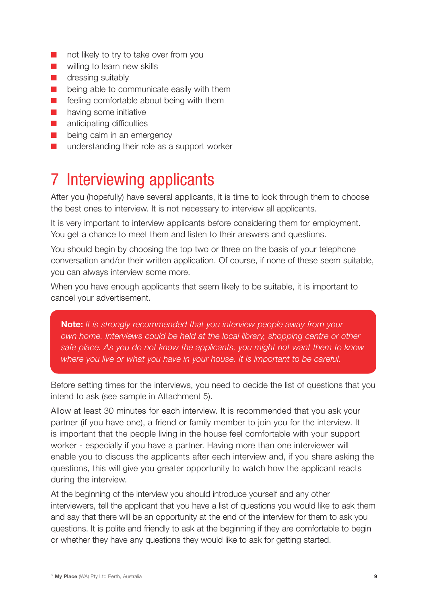- $\blacksquare$  not likely to try to take over from you
- $\blacksquare$  willing to learn new skills
- $\blacksquare$  dressing suitably
- $\blacksquare$  being able to communicate easily with them
- $\blacksquare$  feeling comfortable about being with them
- $\blacksquare$  having some initiative
- $\blacksquare$  anticipating difficulties
- $\blacksquare$  being calm in an emergency
- n understanding their role as a support worker

### 7 Interviewing applicants

After you (hopefully) have several applicants, it is time to look through them to choose the best ones to interview. It is not necessary to interview all applicants.

It is very important to interview applicants before considering them for employment. You get a chance to meet them and listen to their answers and questions.

You should begin by choosing the top two or three on the basis of your telephone conversation and/or their written application. Of course, if none of these seem suitable, you can always interview some more.

When you have enough applicants that seem likely to be suitable, it is important to cancel your advertisement.

**Note:** *It is strongly recommended that you interview people away from your own home. Interviews could be held at the local library, shopping centre or other safe place. As you do not know the applicants, you might not want them to know where you live or what you have in your house. It is important to be careful.*

Before setting times for the interviews, you need to decide the list of questions that you intend to ask (see sample in Attachment 5).

Allow at least 30 minutes for each interview. It is recommended that you ask your partner (if you have one), a friend or family member to join you for the interview. It is important that the people living in the house feel comfortable with your support worker - especially if you have a partner. Having more than one interviewer will enable you to discuss the applicants after each interview and, if you share asking the questions, this will give you greater opportunity to watch how the applicant reacts during the interview.

At the beginning of the interview you should introduce yourself and any other interviewers, tell the applicant that you have a list of questions you would like to ask them and say that there will be an opportunity at the end of the interview for them to ask you questions. It is polite and friendly to ask at the beginning if they are comfortable to begin or whether they have any questions they would like to ask for getting started.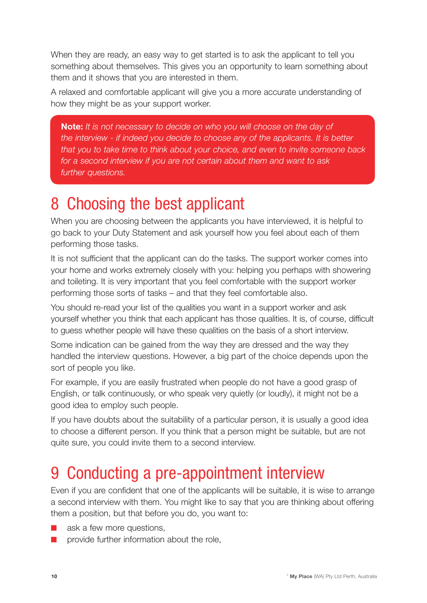When they are ready, an easy way to get started is to ask the applicant to tell you something about themselves. This gives you an opportunity to learn something about them and it shows that you are interested in them.

A relaxed and comfortable applicant will give you a more accurate understanding of how they might be as your support worker.

**Note:** *It is not necessary to decide on who you will choose on the day of the interview - if indeed you decide to choose any of the applicants. It is better that you to take time to think about your choice, and even to invite someone back for a second interview if you are not certain about them and want to ask further questions.*

### 8 Choosing the best applicant

When you are choosing between the applicants you have interviewed, it is helpful to go back to your Duty Statement and ask yourself how you feel about each of them performing those tasks.

It is not sufficient that the applicant can do the tasks. The support worker comes into your home and works extremely closely with you: helping you perhaps with showering and toileting. It is very important that you feel comfortable with the support worker performing those sorts of tasks – and that they feel comfortable also.

You should re-read your list of the qualities you want in a support worker and ask yourself whether you think that each applicant has those qualities. It is, of course, difficult to guess whether people will have these qualities on the basis of a short interview.

Some indication can be gained from the way they are dressed and the way they handled the interview questions. However, a big part of the choice depends upon the sort of people you like.

For example, if you are easily frustrated when people do not have a good grasp of English, or talk continuously, or who speak very quietly (or loudly), it might not be a good idea to employ such people.

If you have doubts about the suitability of a particular person, it is usually a good idea to choose a different person. If you think that a person might be suitable, but are not quite sure, you could invite them to a second interview.

### 9 Conducting a pre-appointment interview

Even if you are confident that one of the applicants will be suitable, it is wise to arrange a second interview with them. You might like to say that you are thinking about offering them a position, but that before you do, you want to:

- ask a few more questions,
- provide further information about the role,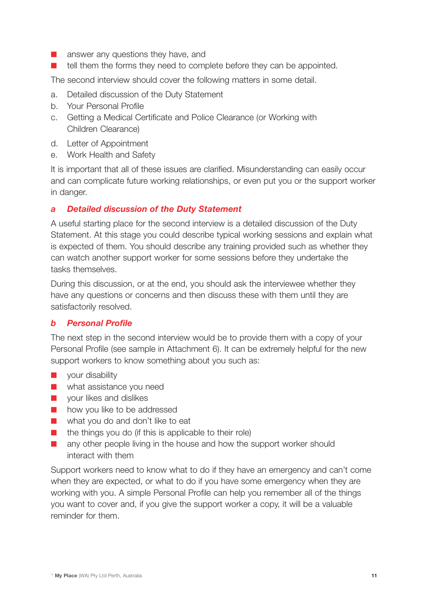- $\blacksquare$  answer any questions they have, and
- $\blacksquare$  tell them the forms they need to complete before they can be appointed.

The second interview should cover the following matters in some detail.

- a. Detailed discussion of the Duty Statement
- b. Your Personal Profile
- c. Getting a Medical Certificate and Police Clearance (or Working with Children Clearance)
- d. Letter of Appointment
- e. Work Health and Safety

It is important that all of these issues are clarified. Misunderstanding can easily occur and can complicate future working relationships, or even put you or the support worker in danger.

#### *a Detailed discussion of the Duty Statement*

A useful starting place for the second interview is a detailed discussion of the Duty Statement. At this stage you could describe typical working sessions and explain what is expected of them. You should describe any training provided such as whether they can watch another support worker for some sessions before they undertake the tasks themselves.

During this discussion, or at the end, you should ask the interviewee whether they have any questions or concerns and then discuss these with them until they are satisfactorily resolved.

#### *b Personal Profile*

The next step in the second interview would be to provide them with a copy of your Personal Profile (see sample in Attachment 6). It can be extremely helpful for the new support workers to know something about you such as:

- $\blacksquare$  your disability
- $\blacksquare$  what assistance you need
- $\blacksquare$  vour likes and dislikes
- $\blacksquare$  how you like to be addressed
- $\blacksquare$  what you do and don't like to eat
- $\blacksquare$  the things you do (if this is applicable to their role)
- $\Box$  any other people living in the house and how the support worker should interact with them

Support workers need to know what to do if they have an emergency and can't come when they are expected, or what to do if you have some emergency when they are working with you. A simple Personal Profile can help you remember all of the things you want to cover and, if you give the support worker a copy, it will be a valuable reminder for them.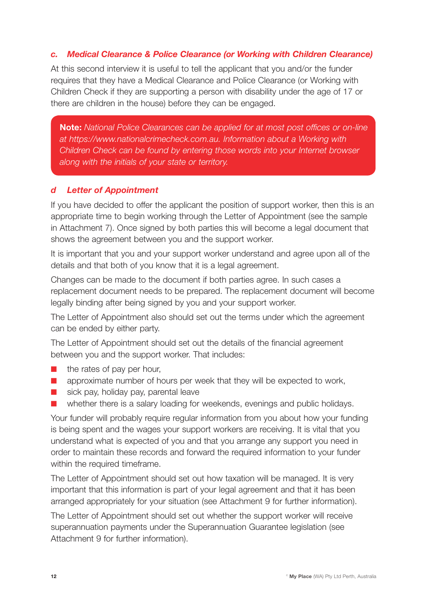#### *c. Medical Clearance & Police Clearance (or Working with Children Clearance)*

At this second interview it is useful to tell the applicant that you and/or the funder requires that they have a Medical Clearance and Police Clearance (or Working with Children Check if they are supporting a person with disability under the age of 17 or there are children in the house) before they can be engaged.

**Note:** *National Police Clearances can be applied for at most post offices or on-line at https://www.nationalcrimecheck.com.au. Information about a Working with Children Check can be found by entering those words into your Internet browser along with the initials of your state or territory.*

#### *d Letter of Appointment*

If you have decided to offer the applicant the position of support worker, then this is an appropriate time to begin working through the Letter of Appointment (see the sample in Attachment 7). Once signed by both parties this will become a legal document that shows the agreement between you and the support worker.

It is important that you and your support worker understand and agree upon all of the details and that both of you know that it is a legal agreement.

Changes can be made to the document if both parties agree. In such cases a replacement document needs to be prepared. The replacement document will become legally binding after being signed by you and your support worker.

The Letter of Appointment also should set out the terms under which the agreement can be ended by either party.

The Letter of Appointment should set out the details of the financial agreement between you and the support worker. That includes:

- $\blacksquare$  the rates of pay per hour,
- $\blacksquare$  approximate number of hours per week that they will be expected to work,
- $\blacksquare$  sick pay, holiday pay, parental leave
- whether there is a salary loading for weekends, evenings and public holidays.

Your funder will probably require regular information from you about how your funding is being spent and the wages your support workers are receiving. It is vital that you understand what is expected of you and that you arrange any support you need in order to maintain these records and forward the required information to your funder within the required timeframe.

The Letter of Appointment should set out how taxation will be managed. It is very important that this information is part of your legal agreement and that it has been arranged appropriately for your situation (see Attachment 9 for further information).

The Letter of Appointment should set out whether the support worker will receive superannuation payments under the Superannuation Guarantee legislation (see Attachment 9 for further information).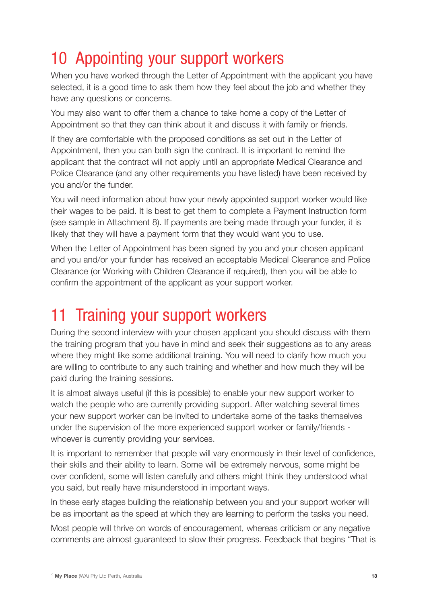# 10 Appointing your support workers

When you have worked through the Letter of Appointment with the applicant you have selected, it is a good time to ask them how they feel about the job and whether they have any questions or concerns.

You may also want to offer them a chance to take home a copy of the Letter of Appointment so that they can think about it and discuss it with family or friends.

If they are comfortable with the proposed conditions as set out in the Letter of Appointment, then you can both sign the contract. It is important to remind the applicant that the contract will not apply until an appropriate Medical Clearance and Police Clearance (and any other requirements you have listed) have been received by you and/or the funder.

You will need information about how your newly appointed support worker would like their wages to be paid. It is best to get them to complete a Payment Instruction form (see sample in Attachment 8). If payments are being made through your funder, it is likely that they will have a payment form that they would want you to use.

When the Letter of Appointment has been signed by you and your chosen applicant and you and/or your funder has received an acceptable Medical Clearance and Police Clearance (or Working with Children Clearance if required), then you will be able to confirm the appointment of the applicant as your support worker.

### 11 Training your support workers

During the second interview with your chosen applicant you should discuss with them the training program that you have in mind and seek their suggestions as to any areas where they might like some additional training. You will need to clarify how much you are willing to contribute to any such training and whether and how much they will be paid during the training sessions.

It is almost always useful (if this is possible) to enable your new support worker to watch the people who are currently providing support. After watching several times your new support worker can be invited to undertake some of the tasks themselves under the supervision of the more experienced support worker or family/friends whoever is currently providing your services.

It is important to remember that people will vary enormously in their level of confidence, their skills and their ability to learn. Some will be extremely nervous, some might be over confident, some will listen carefully and others might think they understood what you said, but really have misunderstood in important ways.

In these early stages building the relationship between you and your support worker will be as important as the speed at which they are learning to perform the tasks you need.

Most people will thrive on words of encouragement, whereas criticism or any negative comments are almost guaranteed to slow their progress. Feedback that begins "That is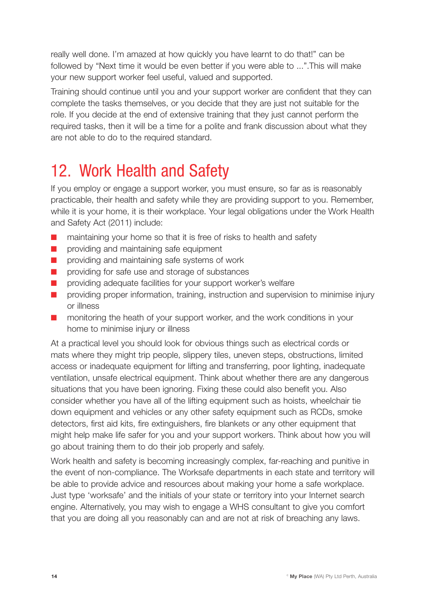really well done. I'm amazed at how quickly you have learnt to do that!" can be followed by "Next time it would be even better if you were able to ...".This will make your new support worker feel useful, valued and supported.

Training should continue until you and your support worker are confident that they can complete the tasks themselves, or you decide that they are just not suitable for the role. If you decide at the end of extensive training that they just cannot perform the required tasks, then it will be a time for a polite and frank discussion about what they are not able to do to the required standard.

### 12. Work Health and Safety

If you employ or engage a support worker, you must ensure, so far as is reasonably practicable, their health and safety while they are providing support to you. Remember, while it is your home, it is their workplace. Your legal obligations under the Work Health and Safety Act (2011) include:

- $\blacksquare$  maintaining your home so that it is free of risks to health and safety
- $\blacksquare$  providing and maintaining safe equipment
- $\blacksquare$  providing and maintaining safe systems of work
- n providing for safe use and storage of substances
- $\blacksquare$  providing adequate facilities for your support worker's welfare
- $\Box$  providing proper information, training, instruction and supervision to minimise injury or illness
- $\blacksquare$  monitoring the heath of your support worker, and the work conditions in your home to minimise injury or illness

At a practical level you should look for obvious things such as electrical cords or mats where they might trip people, slippery tiles, uneven steps, obstructions, limited access or inadequate equipment for lifting and transferring, poor lighting, inadequate ventilation, unsafe electrical equipment. Think about whether there are any dangerous situations that you have been ignoring. Fixing these could also benefit you. Also consider whether you have all of the lifting equipment such as hoists, wheelchair tie down equipment and vehicles or any other safety equipment such as RCDs, smoke detectors, first aid kits, fire extinguishers, fire blankets or any other equipment that might help make life safer for you and your support workers. Think about how you will go about training them to do their job properly and safely.

Work health and safety is becoming increasingly complex, far-reaching and punitive in the event of non-compliance. The Worksafe departments in each state and territory will be able to provide advice and resources about making your home a safe workplace. Just type 'worksafe' and the initials of your state or territory into your Internet search engine. Alternatively, you may wish to engage a WHS consultant to give you comfort that you are doing all you reasonably can and are not at risk of breaching any laws.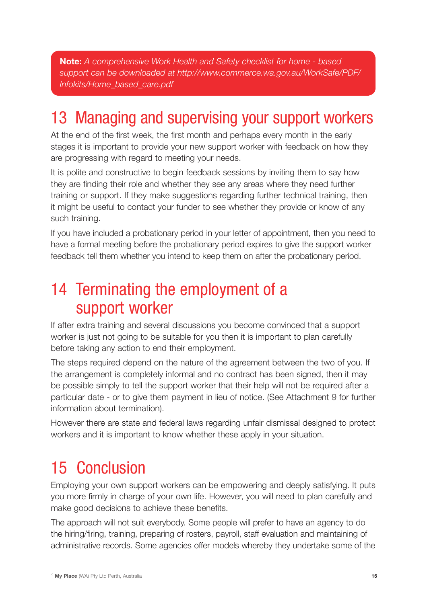**Note:** *A comprehensive Work Health and Safety checklist for home - based support can be downloaded at http://www.commerce.wa.gov.au/WorkSafe/PDF/ Infokits/Home\_based\_care.pdf*

### 13 Managing and supervising your support workers

At the end of the first week, the first month and perhaps every month in the early stages it is important to provide your new support worker with feedback on how they are progressing with regard to meeting your needs.

It is polite and constructive to begin feedback sessions by inviting them to say how they are finding their role and whether they see any areas where they need further training or support. If they make suggestions regarding further technical training, then it might be useful to contact your funder to see whether they provide or know of any such training.

If you have included a probationary period in your letter of appointment, then you need to have a formal meeting before the probationary period expires to give the support worker feedback tell them whether you intend to keep them on after the probationary period.

### 14 Terminating the employment of a support worker

If after extra training and several discussions you become convinced that a support worker is just not going to be suitable for you then it is important to plan carefully before taking any action to end their employment.

The steps required depend on the nature of the agreement between the two of you. If the arrangement is completely informal and no contract has been signed, then it may be possible simply to tell the support worker that their help will not be required after a particular date - or to give them payment in lieu of notice. (See Attachment 9 for further information about termination).

However there are state and federal laws regarding unfair dismissal designed to protect workers and it is important to know whether these apply in your situation.

### 15 Conclusion

Employing your own support workers can be empowering and deeply satisfying. It puts you more firmly in charge of your own life. However, you will need to plan carefully and make good decisions to achieve these benefits.

The approach will not suit everybody. Some people will prefer to have an agency to do the hiring/firing, training, preparing of rosters, payroll, staff evaluation and maintaining of administrative records. Some agencies offer models whereby they undertake some of the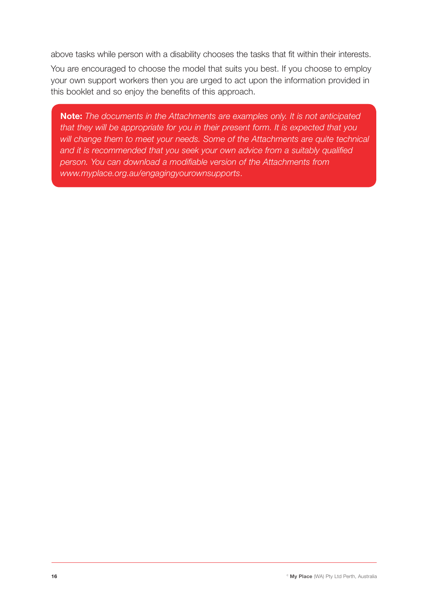above tasks while person with a disability chooses the tasks that fit within their interests.

You are encouraged to choose the model that suits you best. If you choose to employ your own support workers then you are urged to act upon the information provided in this booklet and so enjoy the benefits of this approach.

**Note:** *The documents in the Attachments are examples only. It is not anticipated that they will be appropriate for you in their present form. It is expected that you will change them to meet your needs. Some of the Attachments are quite technical and it is recommended that you seek your own advice from a suitably qualified person. You can download a modifiable version of the Attachments from www.myplace.org.au/engagingyourownsupports*.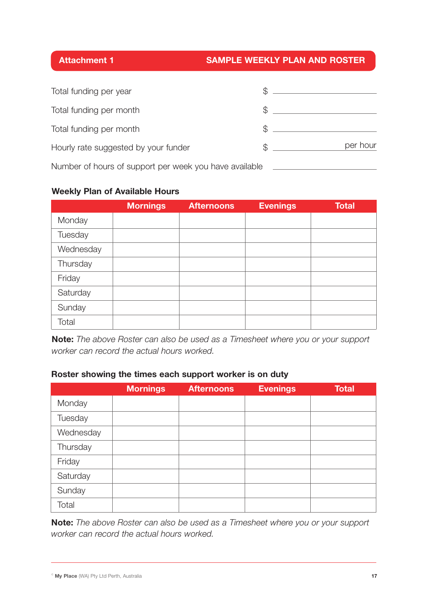#### **Attachment 1 Sample Weekly Plan and Roster**

 $\sim 10^{10}$  m  $^{-1}$ 

| Total funding per year               |          |
|--------------------------------------|----------|
| Total funding per month              |          |
| Total funding per month              |          |
| Hourly rate suggested by your funder | per hour |

Number of hours of support per week you have available

#### **Weekly Plan of Available Hours**

|           | <b>Mornings</b> | <b>Afternoons</b> | <b>Evenings</b> | <b>Total</b> |
|-----------|-----------------|-------------------|-----------------|--------------|
| Monday    |                 |                   |                 |              |
| Tuesday   |                 |                   |                 |              |
| Wednesday |                 |                   |                 |              |
| Thursday  |                 |                   |                 |              |
| Friday    |                 |                   |                 |              |
| Saturday  |                 |                   |                 |              |
| Sunday    |                 |                   |                 |              |
| Total     |                 |                   |                 |              |

**Note:** *The above Roster can also be used as a Timesheet where you or your support worker can record the actual hours worked.*

#### **Roster showing the times each support worker is on duty**

|           | <b>Mornings</b> | <b>Afternoons</b> | <b>Evenings</b> | <b>Total</b> |
|-----------|-----------------|-------------------|-----------------|--------------|
| Monday    |                 |                   |                 |              |
| Tuesday   |                 |                   |                 |              |
| Wednesday |                 |                   |                 |              |
| Thursday  |                 |                   |                 |              |
| Friday    |                 |                   |                 |              |
| Saturday  |                 |                   |                 |              |
| Sunday    |                 |                   |                 |              |
| Total     |                 |                   |                 |              |

**Note:** *The above Roster can also be used as a Timesheet where you or your support worker can record the actual hours worked.*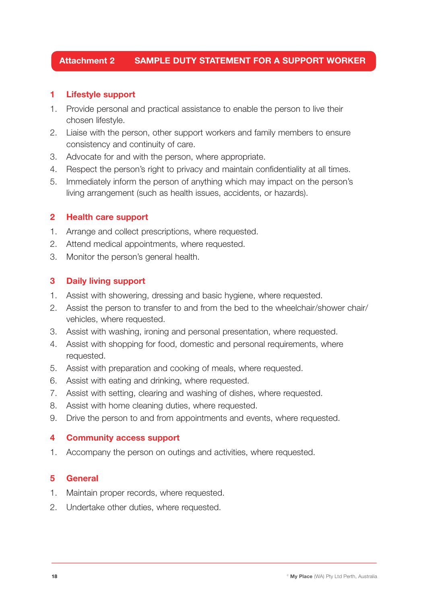#### **Attachment 2 Sample Duty Statement for a Support Worker**

#### **1 Lifestyle support**

- 1. Provide personal and practical assistance to enable the person to live their chosen lifestyle.
- 2. Liaise with the person, other support workers and family members to ensure consistency and continuity of care.
- 3. Advocate for and with the person, where appropriate.
- 4. Respect the person's right to privacy and maintain confidentiality at all times.
- 5. Immediately inform the person of anything which may impact on the person's living arrangement (such as health issues, accidents, or hazards).

#### **2 Health care support**

- 1. Arrange and collect prescriptions, where requested.
- 2. Attend medical appointments, where requested.
- 3. Monitor the person's general health.

#### **3 Daily living support**

- 1. Assist with showering, dressing and basic hygiene, where requested.
- 2. Assist the person to transfer to and from the bed to the wheelchair/shower chair/ vehicles, where requested.
- 3. Assist with washing, ironing and personal presentation, where requested.
- 4. Assist with shopping for food, domestic and personal requirements, where requested.
- 5. Assist with preparation and cooking of meals, where requested.
- 6. Assist with eating and drinking, where requested.
- 7. Assist with setting, clearing and washing of dishes, where requested.
- 8. Assist with home cleaning duties, where requested.
- 9. Drive the person to and from appointments and events, where requested.

#### **4 Community access support**

1. Accompany the person on outings and activities, where requested.

#### **5 General**

- 1. Maintain proper records, where requested.
- 2. Undertake other duties, where requested.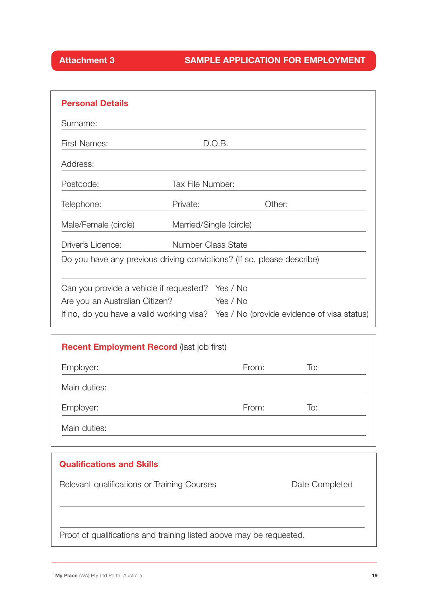### **Attachment 3 Sample Application For Employment**

| <b>Personal Details</b>                                                   |                  |                                                                                                             |  |
|---------------------------------------------------------------------------|------------------|-------------------------------------------------------------------------------------------------------------|--|
| Surname:                                                                  |                  |                                                                                                             |  |
| <b>First Names:</b>                                                       |                  | D.O.B.                                                                                                      |  |
| Address:                                                                  |                  |                                                                                                             |  |
| Postcode:                                                                 | Tax File Number: |                                                                                                             |  |
| Telephone:                                                                | Private:         | Other:                                                                                                      |  |
| Male/Female (circle)                                                      |                  | Married/Single (circle)                                                                                     |  |
| Driver's Licence:                                                         |                  | Number Class State                                                                                          |  |
| Do you have any previous driving convictions? (If so, please describe)    |                  |                                                                                                             |  |
| Can you provide a vehicle if requested?<br>Are you an Australian Citizen? |                  | Yes / No<br>Yes / No<br>If no, do you have a valid working visa? Yes / No (provide evidence of visa status) |  |

| <b>Recent Employment Record (last job first)</b> |       |                   |  |
|--------------------------------------------------|-------|-------------------|--|
| Employer:                                        | From: | To:               |  |
| Main duties:                                     |       |                   |  |
| Employer:                                        | From: | $\overline{1}$ o: |  |
| Main duties:                                     |       |                   |  |

Relevant qualifications or Training Courses **Date Completed** Date Completed

Proof of qualifications and training listed above may be requested.

<sup>c</sup> **My Place** (WA) Pty Ltd Perth, Australia **19**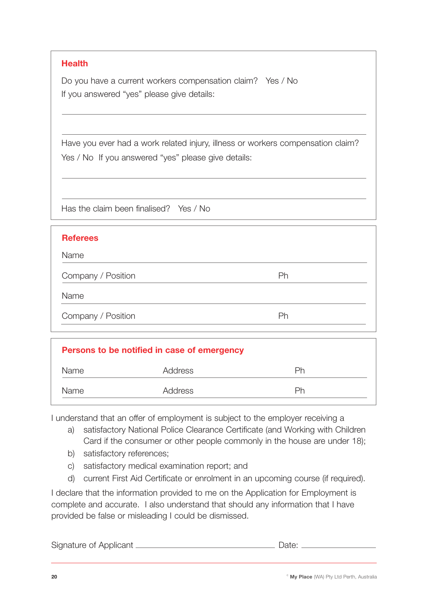#### **Health**

Do you have a current workers compensation claim? Yes / No If you answered "yes" please give details:

Have you ever had a work related injury, illness or workers compensation claim? Yes / No If you answered "yes" please give details:

Has the claim been finalised? Yes / No

| <b>Referees</b>    |    |
|--------------------|----|
| Name               |    |
| Company / Position | Ph |
| Name               |    |
| Company / Position | Ph |

| Persons to be notified in case of emergency |         |    |  |
|---------------------------------------------|---------|----|--|
| <b>Name</b>                                 | Address | Рh |  |
| Name                                        | Address |    |  |

I understand that an offer of employment is subject to the employer receiving a

- a) satisfactory National Police Clearance Certificate (and Working with Children Card if the consumer or other people commonly in the house are under 18);
- b) satisfactory references;
- c) satisfactory medical examination report; and
- d) current First Aid Certificate or enrolment in an upcoming course (if required).

I declare that the information provided to me on the Application for Employment is complete and accurate. I also understand that should any information that I have provided be false or misleading I could be dismissed.

Signature of Applicant Date: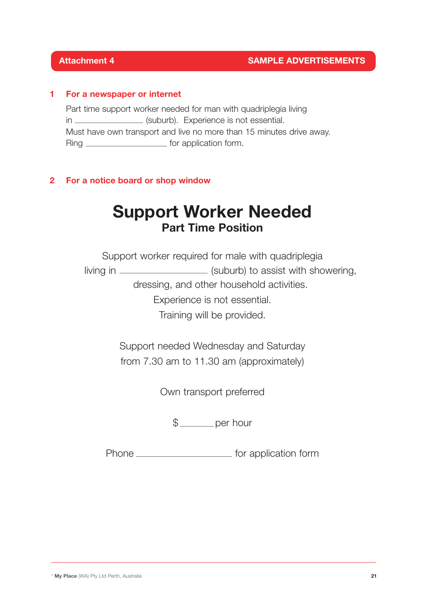#### **Attachment 4 Sample advertisements** Attachment 4 Sample advertisements

#### **1 For a newspaper or internet**

Part time support worker needed for man with quadriplegia living in \_\_\_\_\_\_\_\_\_\_\_\_\_\_\_\_ (suburb). Experience is not essential. Must have own transport and live no more than 15 minutes drive away. Ring \_\_\_\_\_\_\_\_\_\_\_\_\_\_\_\_\_\_\_\_\_\_\_\_\_ for application form.

#### **2 For a notice board or shop window**

### **Support Worker Needed Part Time Position**

Support worker required for male with quadriplegia

living in  $\frac{1}{\sqrt{1-\frac{1}{\sqrt{1-\frac{1}{\sqrt{1-\frac{1}{\sqrt{1-\frac{1}{\sqrt{1-\frac{1}{\sqrt{1-\frac{1}{\sqrt{1-\frac{1}{\sqrt{1-\frac{1}{\sqrt{1-\frac{1}{\sqrt{1-\frac{1}{\sqrt{1-\frac{1}{\sqrt{1-\frac{1}{\sqrt{1-\frac{1}{\sqrt{1-\frac{1}{\sqrt{1-\frac{1}{\sqrt{1-\frac{1}{\sqrt{1-\frac{1}{\sqrt{1-\frac{1}{\sqrt{1-\frac{1}{\sqrt{1-\frac{1}{\sqrt{1-\frac{1}{\sqrt{1-\frac{1}{\sqrt{1-\frac{1$ 

dressing, and other household activities.

Experience is not essential.

Training will be provided.

Support needed Wednesday and Saturday from 7.30 am to 11.30 am (approximately)

Own transport preferred

 $\frac{1}{2}$  per hour

Phone <u>entitled</u> for application form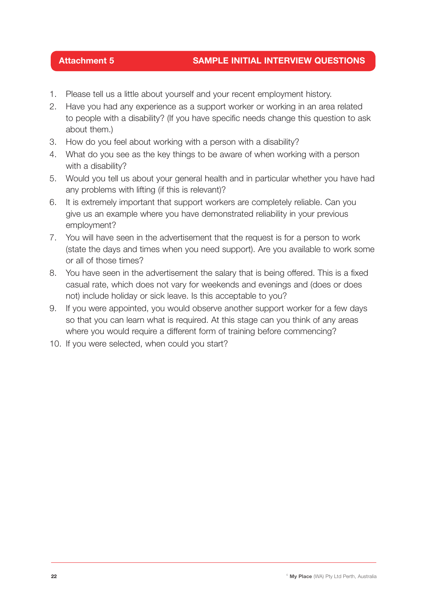#### **Attachment 5 Sample Initial Interview Questions**

- 1. Please tell us a little about yourself and your recent employment history.
- 2. Have you had any experience as a support worker or working in an area related to people with a disability? (If you have specific needs change this question to ask about them.)
- 3. How do you feel about working with a person with a disability?
- 4. What do you see as the key things to be aware of when working with a person with a disability?
- 5. Would you tell us about your general health and in particular whether you have had any problems with lifting (if this is relevant)?
- 6. It is extremely important that support workers are completely reliable. Can you give us an example where you have demonstrated reliability in your previous employment?
- 7. You will have seen in the advertisement that the request is for a person to work (state the days and times when you need support). Are you available to work some or all of those times?
- 8. You have seen in the advertisement the salary that is being offered. This is a fixed casual rate, which does not vary for weekends and evenings and (does or does not) include holiday or sick leave. Is this acceptable to you?
- 9. If you were appointed, you would observe another support worker for a few days so that you can learn what is required. At this stage can you think of any areas where you would require a different form of training before commencing?
- 10. If you were selected, when could you start?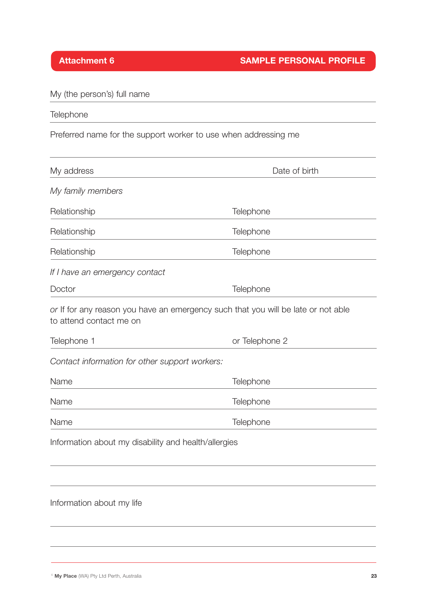### **Attachment 6 SAMPLE PERSONAL PROFILE**

| My (the person's) full name                                                                                  |                |
|--------------------------------------------------------------------------------------------------------------|----------------|
| <b>Telephone</b>                                                                                             |                |
| Preferred name for the support worker to use when addressing me                                              |                |
| My address                                                                                                   | Date of birth  |
| My family members                                                                                            |                |
| Relationship                                                                                                 | Telephone      |
| Relationship                                                                                                 | Telephone      |
| Relationship                                                                                                 | Telephone      |
| If I have an emergency contact                                                                               |                |
| Doctor                                                                                                       | Telephone      |
| or If for any reason you have an emergency such that you will be late or not able<br>to attend contact me on |                |
| Telephone 1                                                                                                  | or Telephone 2 |
| Contact information for other support workers:                                                               |                |
| Name                                                                                                         | Telephone      |
| Name                                                                                                         | Telephone      |
| Name                                                                                                         | Telephone      |
| Information about my disability and health/allergies                                                         |                |
|                                                                                                              |                |
|                                                                                                              |                |
| Information about my life                                                                                    |                |
|                                                                                                              |                |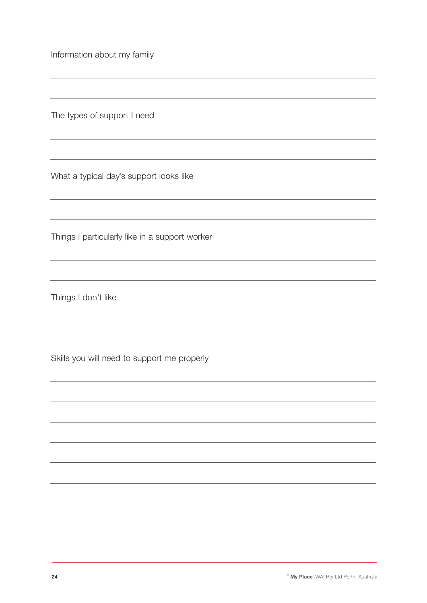Information about my family

The types of support I need

What a typical day's support looks like

Things I particularly like in a support worker

Things I don't like

Skills you will need to support me properly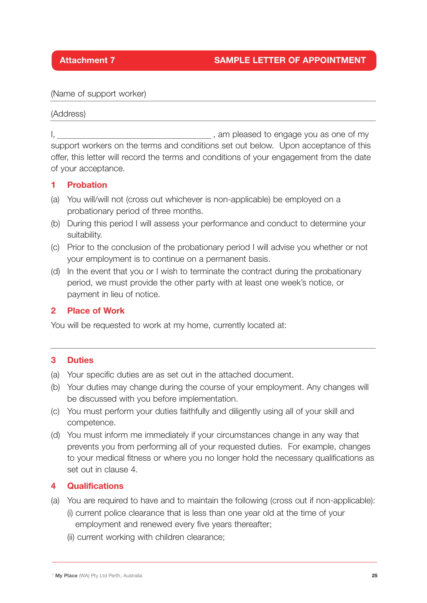#### (Name of support worker)

#### (Address)

I, the contract of the contract of the contract of the contract of the contract of the contract of the contract of my support workers on the terms and conditions set out below. Upon acceptance of this offer, this letter will record the terms and conditions of your engagement from the date of your acceptance.

#### **1 Probation**

- (a) You will/will not (cross out whichever is non-applicable) be employed on a probationary period of three months.
- (b) During this period I will assess your performance and conduct to determine your suitability.
- (c) Prior to the conclusion of the probationary period I will advise you whether or not your employment is to continue on a permanent basis.
- (d) In the event that you or I wish to terminate the contract during the probationary period, we must provide the other party with at least one week's notice, or payment in lieu of notice.

#### **2 Place of Work**

You will be requested to work at my home, currently located at:

#### **3 Duties**

- (a) Your specific duties are as set out in the attached document.
- (b) Your duties may change during the course of your employment. Any changes will be discussed with you before implementation.
- (c) You must perform your duties faithfully and diligently using all of your skill and competence.
- (d) You must inform me immediately if your circumstances change in any way that prevents you from performing all of your requested duties. For example, changes to your medical fitness or where you no longer hold the necessary qualifications as set out in clause 4.

#### **4 Qualifications**

- (a) You are required to have and to maintain the following (cross out if non-applicable):
	- (i) current police clearance that is less than one year old at the time of your employment and renewed every five years thereafter;
	- (ii) current working with children clearance;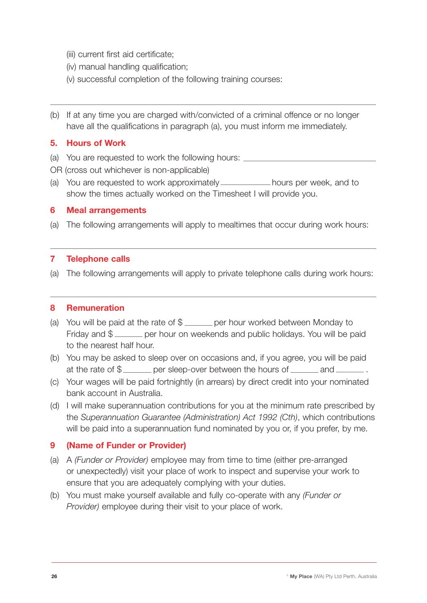- (iii) current first aid certificate;
- (iv) manual handling qualification;
- (v) successful completion of the following training courses:

(b) If at any time you are charged with/convicted of a criminal offence or no longer have all the qualifications in paragraph (a), you must inform me immediately.

#### **5. Hours of Work**

- (a) You are requested to work the following hours:
- OR (cross out whichever is non-applicable)
- (a) You are requested to work approximately \_\_\_\_\_\_\_\_\_\_\_\_ hours per week, and to show the times actually worked on the Timesheet I will provide you.

#### **6 Meal arrangements**

(a) The following arrangements will apply to mealtimes that occur during work hours:

#### **7 Telephone calls**

(a) The following arrangements will apply to private telephone calls during work hours:

#### **8 Remuneration**

- (a) You will be paid at the rate of  $\frac{1}{2}$  per hour worked between Monday to Friday and \$ per hour on weekends and public holidays. You will be paid to the nearest half hour.
- (b) You may be asked to sleep over on occasions and, if you agree, you will be paid at the rate of \$\_\_\_\_\_\_ per sleep-over between the hours of \_\_\_\_\_\_ and \_\_
- (c) Your wages will be paid fortnightly (in arrears) by direct credit into your nominated bank account in Australia.
- (d) I will make superannuation contributions for you at the minimum rate prescribed by the *Superannuation Guarantee (Administration) Act 1992 (Cth)*, which contributions will be paid into a superannuation fund nominated by you or, if you prefer, by me.

#### **9 (Name of Funder or Provider)**

- (a) A *(Funder or Provider)* employee may from time to time (either pre-arranged or unexpectedly) visit your place of work to inspect and supervise your work to ensure that you are adequately complying with your duties.
- (b) You must make yourself available and fully co-operate with any *(Funder or Provider)* employee during their visit to your place of work.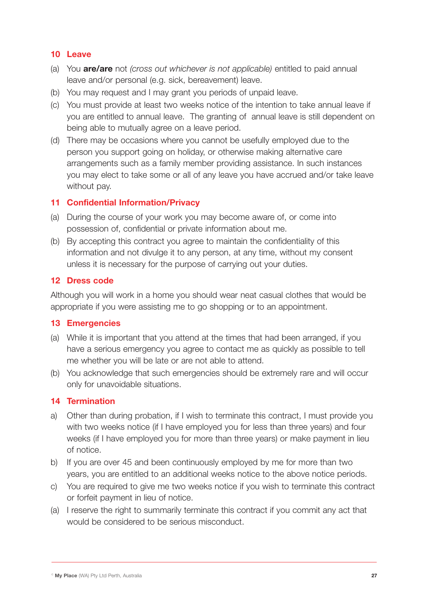#### **10 Leave**

- (a) You **are/are** not *(cross out whichever is not applicable)* entitled to paid annual leave and/or personal (e.g. sick, bereavement) leave.
- (b) You may request and I may grant you periods of unpaid leave.
- (c) You must provide at least two weeks notice of the intention to take annual leave if you are entitled to annual leave. The granting of annual leave is still dependent on being able to mutually agree on a leave period.
- (d) There may be occasions where you cannot be usefully employed due to the person you support going on holiday, or otherwise making alternative care arrangements such as a family member providing assistance. In such instances you may elect to take some or all of any leave you have accrued and/or take leave without pay.

#### **11 Confidential Information/Privacy**

- (a) During the course of your work you may become aware of, or come into possession of, confidential or private information about me.
- (b) By accepting this contract you agree to maintain the confidentiality of this information and not divulge it to any person, at any time, without my consent unless it is necessary for the purpose of carrying out your duties.

#### **12 Dress code**

Although you will work in a home you should wear neat casual clothes that would be appropriate if you were assisting me to go shopping or to an appointment.

#### **13 Emergencies**

- (a) While it is important that you attend at the times that had been arranged, if you have a serious emergency you agree to contact me as quickly as possible to tell me whether you will be late or are not able to attend.
- (b) You acknowledge that such emergencies should be extremely rare and will occur only for unavoidable situations.

#### **14 Termination**

- a) Other than during probation, if I wish to terminate this contract, I must provide you with two weeks notice (if I have employed you for less than three years) and four weeks (if I have employed you for more than three years) or make payment in lieu of notice.
- b) If you are over 45 and been continuously employed by me for more than two years, you are entitled to an additional weeks notice to the above notice periods.
- c) You are required to give me two weeks notice if you wish to terminate this contract or forfeit payment in lieu of notice.
- (a) I reserve the right to summarily terminate this contract if you commit any act that would be considered to be serious misconduct.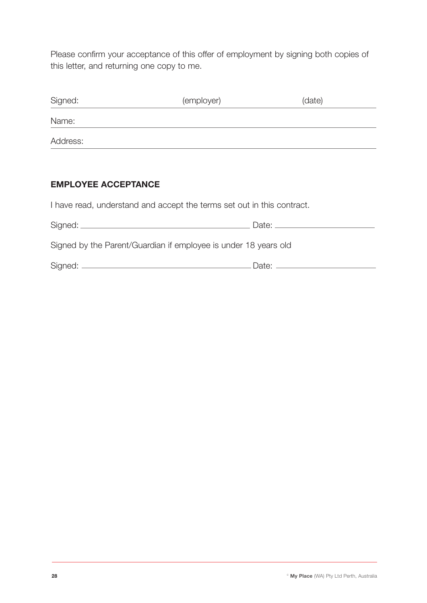Please confirm your acceptance of this offer of employment by signing both copies of this letter, and returning one copy to me.

| Signed:  | (employer) | (date) |
|----------|------------|--------|
| Name:    |            |        |
| Address: |            |        |

#### **EMPLOYEE ACCEPTANCE**

I have read, understand and accept the terms set out in this contract.

| Signed: __                                                      | Date: |  |
|-----------------------------------------------------------------|-------|--|
| Signed by the Parent/Guardian if employee is under 18 years old |       |  |
| Signed: _                                                       | Date: |  |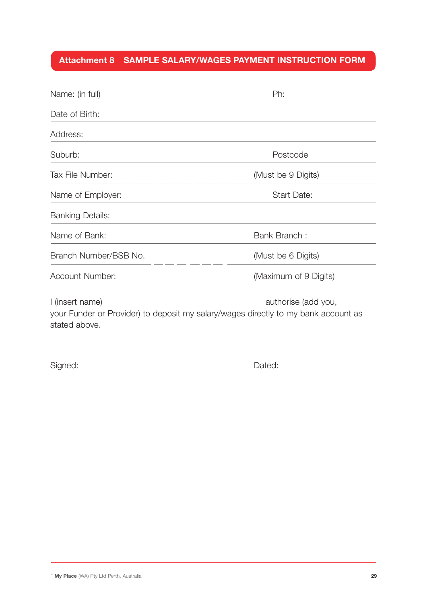### **Attachment 8 Sample Salary/Wages Payment Instruction Form**

| Name: (in full)         | Ph:                                                                                |
|-------------------------|------------------------------------------------------------------------------------|
| Date of Birth:          |                                                                                    |
| Address:                |                                                                                    |
| Suburb:                 | Postcode                                                                           |
| Tax File Number:        | (Must be 9 Digits)                                                                 |
| Name of Employer:       | Start Date:                                                                        |
| <b>Banking Details:</b> |                                                                                    |
| Name of Bank:           | <b>Bank Branch:</b>                                                                |
| Branch Number/BSB No.   | (Must be 6 Digits)                                                                 |
| Account Number:         | (Maximum of 9 Digits)                                                              |
| stated above.           | your Funder or Provider) to deposit my salary/wages directly to my bank account as |

Signed: Dated: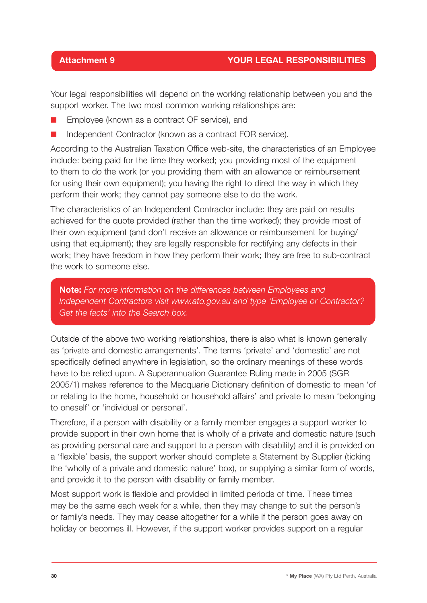#### **Attachment 9 Your legal responsibilities**

Your legal responsibilities will depend on the working relationship between you and the support worker. The two most common working relationships are:

- **n** Employee (known as a contract OF service), and
- Independent Contractor (known as a contract FOR service).

According to the Australian Taxation Office web-site, the characteristics of an Employee include: being paid for the time they worked; you providing most of the equipment to them to do the work (or you providing them with an allowance or reimbursement for using their own equipment); you having the right to direct the way in which they perform their work; they cannot pay someone else to do the work.

The characteristics of an Independent Contractor include: they are paid on results achieved for the quote provided (rather than the time worked); they provide most of their own equipment (and don't receive an allowance or reimbursement for buying/ using that equipment); they are legally responsible for rectifying any defects in their work; they have freedom in how they perform their work; they are free to sub-contract the work to someone else.

**Note:** *For more information on the differences between Employees and Independent Contractors visit www.ato.gov.au and type 'Employee or Contractor? Get the facts' into the Search box.*

Outside of the above two working relationships, there is also what is known generally as 'private and domestic arrangements'. The terms 'private' and 'domestic' are not specifically defined anywhere in legislation, so the ordinary meanings of these words have to be relied upon. A Superannuation Guarantee Ruling made in 2005 (SGR 2005/1) makes reference to the Macquarie Dictionary definition of domestic to mean 'of or relating to the home, household or household affairs' and private to mean 'belonging to oneself' or 'individual or personal'.

Therefore, if a person with disability or a family member engages a support worker to provide support in their own home that is wholly of a private and domestic nature (such as providing personal care and support to a person with disability) and it is provided on a 'flexible' basis, the support worker should complete a Statement by Supplier (ticking the 'wholly of a private and domestic nature' box), or supplying a similar form of words, and provide it to the person with disability or family member.

Most support work is flexible and provided in limited periods of time. These times may be the same each week for a while, then they may change to suit the person's or family's needs. They may cease altogether for a while if the person goes away on holiday or becomes ill. However, if the support worker provides support on a regular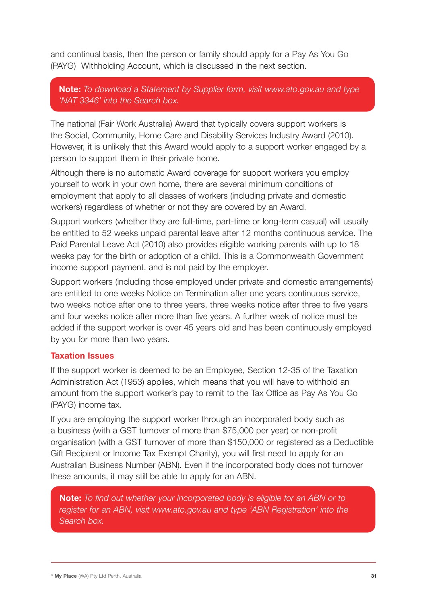and continual basis, then the person or family should apply for a Pay As You Go (PAYG) Withholding Account, which is discussed in the next section.

**Note:** *To download a Statement by Supplier form, visit www.ato.gov.au and type 'NAT 3346' into the Search box.*

The national (Fair Work Australia) Award that typically covers support workers is the Social, Community, Home Care and Disability Services Industry Award (2010). However, it is unlikely that this Award would apply to a support worker engaged by a person to support them in their private home.

Although there is no automatic Award coverage for support workers you employ yourself to work in your own home, there are several minimum conditions of employment that apply to all classes of workers (including private and domestic workers) regardless of whether or not they are covered by an Award.

Support workers (whether they are full-time, part-time or long-term casual) will usually be entitled to 52 weeks unpaid parental leave after 12 months continuous service. The Paid Parental Leave Act (2010) also provides eligible working parents with up to 18 weeks pay for the birth or adoption of a child. This is a Commonwealth Government income support payment, and is not paid by the employer.

Support workers (including those employed under private and domestic arrangements) are entitled to one weeks Notice on Termination after one years continuous service, two weeks notice after one to three years, three weeks notice after three to five years and four weeks notice after more than five years. A further week of notice must be added if the support worker is over 45 years old and has been continuously employed by you for more than two years.

#### **Taxation Issues**

If the support worker is deemed to be an Employee, Section 12-35 of the Taxation Administration Act (1953) applies, which means that you will have to withhold an amount from the support worker's pay to remit to the Tax Office as Pay As You Go (PAYG) income tax.

If you are employing the support worker through an incorporated body such as a business (with a GST turnover of more than \$75,000 per year) or non-profit organisation (with a GST turnover of more than \$150,000 or registered as a Deductible Gift Recipient or Income Tax Exempt Charity), you will first need to apply for an Australian Business Number (ABN). Even if the incorporated body does not turnover these amounts, it may still be able to apply for an ABN.

**Note:** *To find out whether your incorporated body is eligible for an ABN or to register for an ABN, visit www.ato.gov.au and type 'ABN Registration' into the Search box.*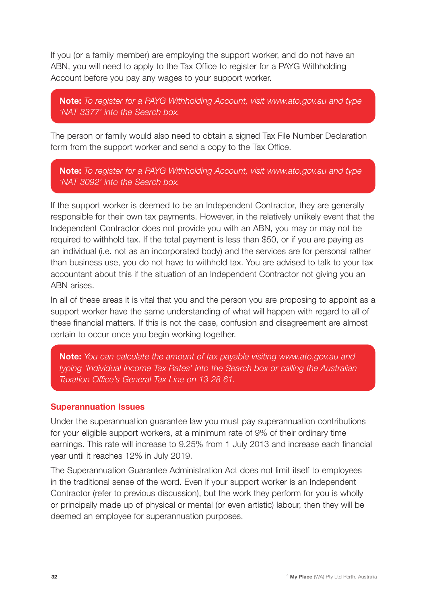If you (or a family member) are employing the support worker, and do not have an ABN, you will need to apply to the Tax Office to register for a PAYG Withholding Account before you pay any wages to your support worker.

**Note:** *To register for a PAYG Withholding Account, visit www.ato.gov.au and type 'NAT 3377' into the Search box.*

The person or family would also need to obtain a signed Tax File Number Declaration form from the support worker and send a copy to the Tax Office.

**Note:** *To register for a PAYG Withholding Account, visit www.ato.gov.au and type 'NAT 3092' into the Search box.*

If the support worker is deemed to be an Independent Contractor, they are generally responsible for their own tax payments. However, in the relatively unlikely event that the Independent Contractor does not provide you with an ABN, you may or may not be required to withhold tax. If the total payment is less than \$50, or if you are paying as an individual (i.e. not as an incorporated body) and the services are for personal rather than business use, you do not have to withhold tax. You are advised to talk to your tax accountant about this if the situation of an Independent Contractor not giving you an ABN arises.

In all of these areas it is vital that you and the person you are proposing to appoint as a support worker have the same understanding of what will happen with regard to all of these financial matters. If this is not the case, confusion and disagreement are almost certain to occur once you begin working together.

**Note:** *You can calculate the amount of tax payable visiting www.ato.gov.au and typing 'Individual Income Tax Rates' into the Search box or calling the Australian Taxation Office's General Tax Line on 13 28 61.*

#### **Superannuation Issues**

Under the superannuation guarantee law you must pay superannuation contributions for your eligible support workers, at a minimum rate of 9% of their ordinary time earnings. This rate will increase to 9.25% from 1 July 2013 and increase each financial year until it reaches 12% in July 2019.

The Superannuation Guarantee Administration Act does not limit itself to employees in the traditional sense of the word. Even if your support worker is an Independent Contractor (refer to previous discussion), but the work they perform for you is wholly or principally made up of physical or mental (or even artistic) labour, then they will be deemed an employee for superannuation purposes.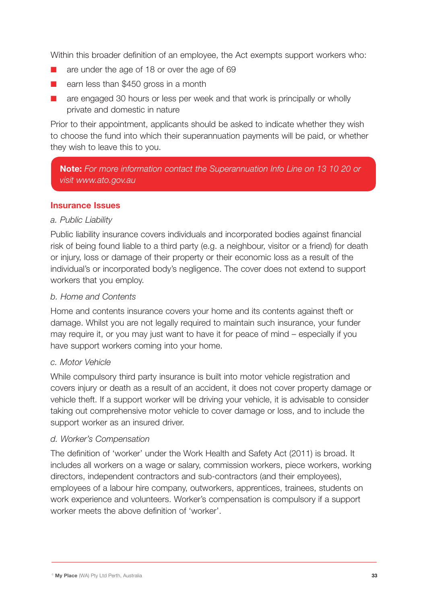Within this broader definition of an employee, the Act exempts support workers who:

- $\blacksquare$  are under the age of 18 or over the age of 69
- earn less than \$450 gross in a month
- are engaged 30 hours or less per week and that work is principally or wholly private and domestic in nature

Prior to their appointment, applicants should be asked to indicate whether they wish to choose the fund into which their superannuation payments will be paid, or whether they wish to leave this to you.

**Note:** *For more information contact the Superannuation Info Line on 13 10 20 or visit www.ato.gov.au*

#### **Insurance Issues**

#### *a. Public Liability*

Public liability insurance covers individuals and incorporated bodies against financial risk of being found liable to a third party (e.g. a neighbour, visitor or a friend) for death or injury, loss or damage of their property or their economic loss as a result of the individual's or incorporated body's negligence. The cover does not extend to support workers that you employ.

#### *b. Home and Contents*

Home and contents insurance covers your home and its contents against theft or damage. Whilst you are not legally required to maintain such insurance, your funder may require it, or you may just want to have it for peace of mind – especially if you have support workers coming into your home.

#### *c. Motor Vehicle*

While compulsory third party insurance is built into motor vehicle registration and covers injury or death as a result of an accident, it does not cover property damage or vehicle theft. If a support worker will be driving your vehicle, it is advisable to consider taking out comprehensive motor vehicle to cover damage or loss, and to include the support worker as an insured driver.

#### *d. Worker's Compensation*

The definition of 'worker' under the Work Health and Safety Act (2011) is broad. It includes all workers on a wage or salary, commission workers, piece workers, working directors, independent contractors and sub-contractors (and their employees), employees of a labour hire company, outworkers, apprentices, trainees, students on work experience and volunteers. Worker's compensation is compulsory if a support worker meets the above definition of 'worker'.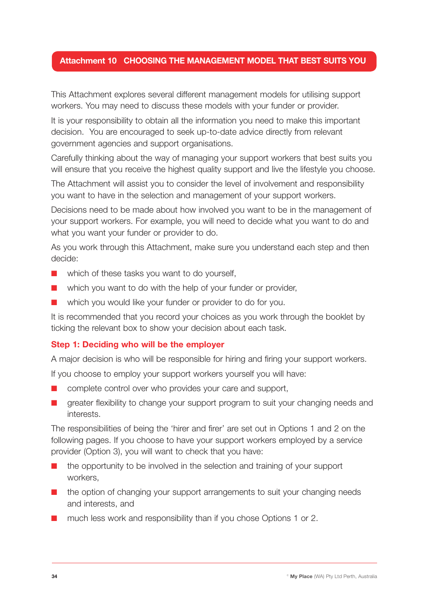#### **Attachment 10 Choosing the management model that best suits you**

This Attachment explores several different management models for utilising support workers. You may need to discuss these models with your funder or provider.

It is your responsibility to obtain all the information you need to make this important decision. You are encouraged to seek up-to-date advice directly from relevant government agencies and support organisations.

Carefully thinking about the way of managing your support workers that best suits you will ensure that you receive the highest quality support and live the lifestyle you choose.

The Attachment will assist you to consider the level of involvement and responsibility you want to have in the selection and management of your support workers.

Decisions need to be made about how involved you want to be in the management of your support workers. For example, you will need to decide what you want to do and what you want your funder or provider to do.

As you work through this Attachment, make sure you understand each step and then decide:

- $\blacksquare$  which of these tasks you want to do yourself.
- $\blacksquare$  which you want to do with the help of your funder or provider,
- n which you would like your funder or provider to do for you.

It is recommended that you record your choices as you work through the booklet by ticking the relevant box to show your decision about each task.

#### **Step 1: Deciding who will be the employer**

A major decision is who will be responsible for hiring and firing your support workers.

If you choose to employ your support workers yourself you will have:

- complete control over who provides your care and support,
- **n** greater flexibility to change your support program to suit your changing needs and interests.

The responsibilities of being the 'hirer and firer' are set out in Options 1 and 2 on the following pages. If you choose to have your support workers employed by a service provider (Option 3), you will want to check that you have:

- $\blacksquare$  the opportunity to be involved in the selection and training of your support workers,
- $\blacksquare$  the option of changing your support arrangements to suit your changing needs and interests, and
- much less work and responsibility than if you chose Options 1 or 2.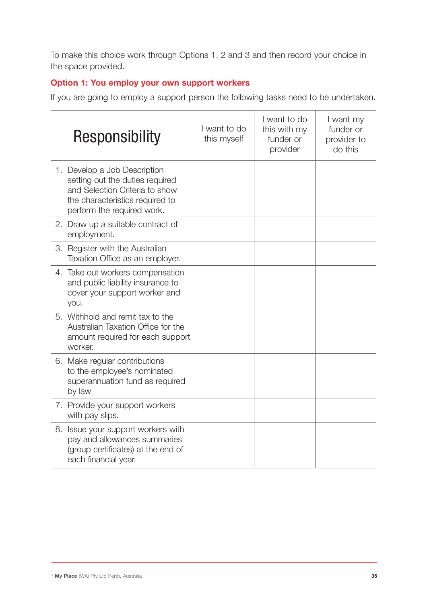To make this choice work through Options 1, 2 and 3 and then record your choice in the space provided.

#### **Option 1: You employ your own support workers**

If you are going to employ a support person the following tasks need to be undertaken.

| Responsibility                                                                                                                                                     | I want to do<br>this myself | I want to do<br>this with my<br>funder or<br>provider | I want my<br>funder or<br>provider to<br>do this |
|--------------------------------------------------------------------------------------------------------------------------------------------------------------------|-----------------------------|-------------------------------------------------------|--------------------------------------------------|
| 1. Develop a Job Description<br>setting out the duties required<br>and Selection Criteria to show<br>the characteristics required to<br>perform the required work. |                             |                                                       |                                                  |
| 2. Draw up a suitable contract of<br>employment.                                                                                                                   |                             |                                                       |                                                  |
| 3. Register with the Australian<br>Taxation Office as an employer.                                                                                                 |                             |                                                       |                                                  |
| 4. Take out workers compensation<br>and public liability insurance to<br>cover your support worker and<br>you.                                                     |                             |                                                       |                                                  |
| 5. Withhold and remit tax to the<br>Australian Taxation Office for the<br>amount required for each support<br>worker.                                              |                             |                                                       |                                                  |
| 6. Make regular contributions<br>to the employee's nominated<br>superannuation fund as required<br>by law                                                          |                             |                                                       |                                                  |
| 7. Provide your support workers<br>with pay slips.                                                                                                                 |                             |                                                       |                                                  |
| 8. Issue your support workers with<br>pay and allowances summaries<br>(group certificates) at the end of<br>each financial year.                                   |                             |                                                       |                                                  |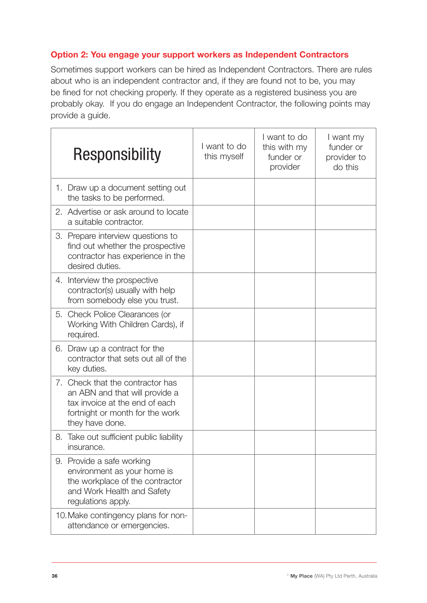#### **Option 2: You engage your support workers as Independent Contractors**

Sometimes support workers can be hired as Independent Contractors. There are rules about who is an independent contractor and, if they are found not to be, you may be fined for not checking properly. If they operate as a registered business you are probably okay. If you do engage an Independent Contractor, the following points may provide a guide.

| Responsibility                                                                                                                                             | I want to do<br>this myself | I want to do<br>this with my<br>funder or<br>provider | I want my<br>funder or<br>provider to<br>do this |
|------------------------------------------------------------------------------------------------------------------------------------------------------------|-----------------------------|-------------------------------------------------------|--------------------------------------------------|
| 1. Draw up a document setting out<br>the tasks to be performed.                                                                                            |                             |                                                       |                                                  |
| 2. Advertise or ask around to locate<br>a suitable contractor.                                                                                             |                             |                                                       |                                                  |
| 3. Prepare interview questions to<br>find out whether the prospective<br>contractor has experience in the<br>desired duties.                               |                             |                                                       |                                                  |
| 4. Interview the prospective<br>contractor(s) usually with help<br>from somebody else you trust.                                                           |                             |                                                       |                                                  |
| 5. Check Police Clearances (or<br>Working With Children Cards), if<br>required.                                                                            |                             |                                                       |                                                  |
| Draw up a contract for the<br>6.<br>contractor that sets out all of the<br>key duties.                                                                     |                             |                                                       |                                                  |
| 7. Check that the contractor has<br>an ABN and that will provide a<br>tax invoice at the end of each<br>fortnight or month for the work<br>they have done. |                             |                                                       |                                                  |
| Take out sufficient public liability<br>8.<br>insurance.                                                                                                   |                             |                                                       |                                                  |
| 9. Provide a safe working<br>environment as your home is<br>the workplace of the contractor<br>and Work Health and Safety<br>regulations apply.            |                             |                                                       |                                                  |
| 10. Make contingency plans for non-<br>attendance or emergencies.                                                                                          |                             |                                                       |                                                  |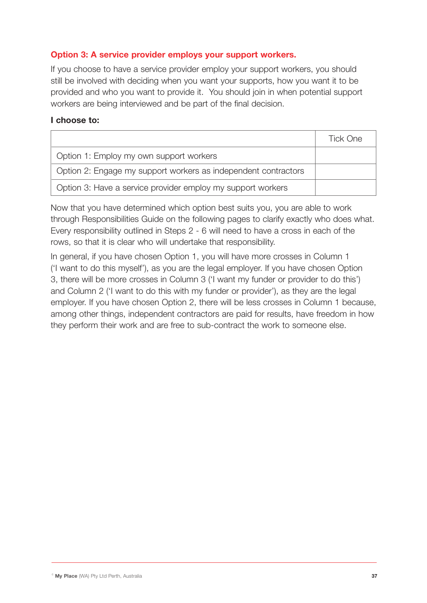#### **Option 3: A service provider employs your support workers.**

If you choose to have a service provider employ your support workers, you should still be involved with deciding when you want your supports, how you want it to be provided and who you want to provide it. You should join in when potential support workers are being interviewed and be part of the final decision.

#### **I choose to:**

|                                                                | Tick One |
|----------------------------------------------------------------|----------|
| Option 1: Employ my own support workers                        |          |
| Option 2: Engage my support workers as independent contractors |          |
| Option 3: Have a service provider employ my support workers    |          |

Now that you have determined which option best suits you, you are able to work through Responsibilities Guide on the following pages to clarify exactly who does what. Every responsibility outlined in Steps 2 - 6 will need to have a cross in each of the rows, so that it is clear who will undertake that responsibility.

In general, if you have chosen Option 1, you will have more crosses in Column 1 ('I want to do this myself'), as you are the legal employer. If you have chosen Option 3, there will be more crosses in Column 3 ('I want my funder or provider to do this') and Column 2 ('I want to do this with my funder or provider'), as they are the legal employer. If you have chosen Option 2, there will be less crosses in Column 1 because, among other things, independent contractors are paid for results, have freedom in how they perform their work and are free to sub-contract the work to someone else.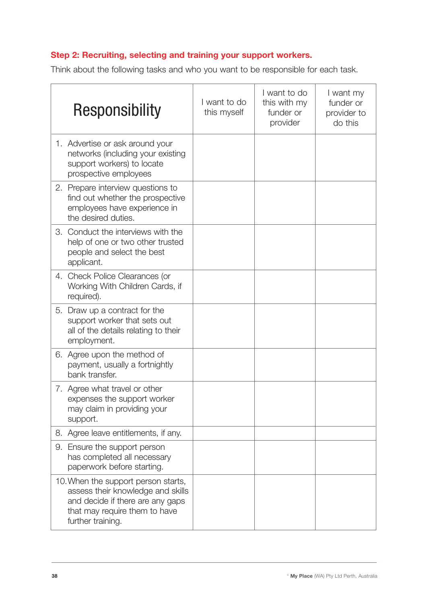#### **Step 2: Recruiting, selecting and training your support workers.**

Think about the following tasks and who you want to be responsible for each task.

| Responsibility                                                                                                                                                     | I want to do<br>this myself | I want to do<br>this with my<br>funder or<br>provider | I want my<br>funder or<br>provider to<br>do this |
|--------------------------------------------------------------------------------------------------------------------------------------------------------------------|-----------------------------|-------------------------------------------------------|--------------------------------------------------|
| 1. Advertise or ask around your<br>networks (including your existing<br>support workers) to locate<br>prospective employees                                        |                             |                                                       |                                                  |
| 2. Prepare interview questions to<br>find out whether the prospective<br>employees have experience in<br>the desired duties.                                       |                             |                                                       |                                                  |
| 3. Conduct the interviews with the<br>help of one or two other trusted<br>people and select the best<br>applicant.                                                 |                             |                                                       |                                                  |
| 4. Check Police Clearances (or<br>Working With Children Cards, if<br>required).                                                                                    |                             |                                                       |                                                  |
| 5. Draw up a contract for the<br>support worker that sets out<br>all of the details relating to their<br>employment.                                               |                             |                                                       |                                                  |
| 6. Agree upon the method of<br>payment, usually a fortnightly<br>bank transfer.                                                                                    |                             |                                                       |                                                  |
| 7. Agree what travel or other<br>expenses the support worker<br>may claim in providing your<br>support.                                                            |                             |                                                       |                                                  |
| 8. Agree leave entitlements, if any.                                                                                                                               |                             |                                                       |                                                  |
| 9. Ensure the support person<br>has completed all necessary<br>paperwork before starting.                                                                          |                             |                                                       |                                                  |
| 10. When the support person starts,<br>assess their knowledge and skills<br>and decide if there are any gaps<br>that may require them to have<br>further training. |                             |                                                       |                                                  |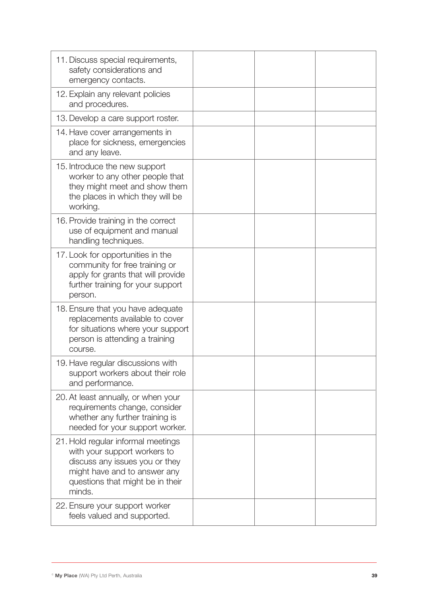| 11. Discuss special requirements,<br>safety considerations and<br>emergency contacts.                                                                                              |  |  |
|------------------------------------------------------------------------------------------------------------------------------------------------------------------------------------|--|--|
| 12. Explain any relevant policies<br>and procedures.                                                                                                                               |  |  |
| 13. Develop a care support roster.                                                                                                                                                 |  |  |
| 14. Have cover arrangements in<br>place for sickness, emergencies<br>and any leave.                                                                                                |  |  |
| 15. Introduce the new support<br>worker to any other people that<br>they might meet and show them<br>the places in which they will be<br>working.                                  |  |  |
| 16. Provide training in the correct<br>use of equipment and manual<br>handling techniques.                                                                                         |  |  |
| 17. Look for opportunities in the<br>community for free training or<br>apply for grants that will provide<br>further training for your support<br>person.                          |  |  |
| 18. Ensure that you have adequate<br>replacements available to cover<br>for situations where your support<br>person is attending a training<br>course.                             |  |  |
| 19. Have regular discussions with<br>support workers about their role<br>and performance.                                                                                          |  |  |
| 20. At least annually, or when your<br>requirements change, consider<br>whether any further training is<br>needed for your support worker.                                         |  |  |
| 21. Hold regular informal meetings<br>with your support workers to<br>discuss any issues you or they<br>might have and to answer any<br>questions that might be in their<br>minds. |  |  |
| 22. Ensure your support worker<br>feels valued and supported.                                                                                                                      |  |  |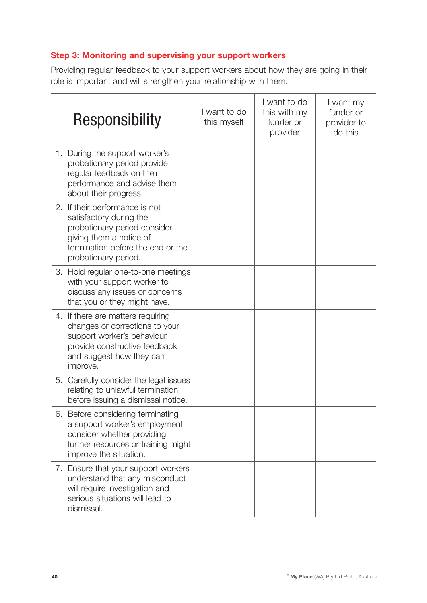#### **Step 3: Monitoring and supervising your support workers**

Providing regular feedback to your support workers about how they are going in their role is important and will strengthen your relationship with them.

|    | Responsibility                                                                                                                                                                    | I want to do<br>this myself | I want to do<br>this with my<br>funder or<br>provider | I want my<br>funder or<br>provider to<br>do this |
|----|-----------------------------------------------------------------------------------------------------------------------------------------------------------------------------------|-----------------------------|-------------------------------------------------------|--------------------------------------------------|
|    | 1. During the support worker's<br>probationary period provide<br>regular feedback on their<br>performance and advise them<br>about their progress.                                |                             |                                                       |                                                  |
|    | 2. If their performance is not<br>satisfactory during the<br>probationary period consider<br>giving them a notice of<br>termination before the end or the<br>probationary period. |                             |                                                       |                                                  |
|    | 3. Hold regular one-to-one meetings<br>with your support worker to<br>discuss any issues or concerns<br>that you or they might have.                                              |                             |                                                       |                                                  |
|    | 4. If there are matters requiring<br>changes or corrections to your<br>support worker's behaviour,<br>provide constructive feedback<br>and suggest how they can<br>improve.       |                             |                                                       |                                                  |
| 5. | Carefully consider the legal issues<br>relating to unlawful termination<br>before issuing a dismissal notice.                                                                     |                             |                                                       |                                                  |
|    | 6. Before considering terminating<br>a support worker's employment<br>consider whether providing<br>further resources or training might<br>improve the situation.                 |                             |                                                       |                                                  |
|    | 7. Ensure that your support workers<br>understand that any misconduct<br>will require investigation and<br>serious situations will lead to<br>dismissal.                          |                             |                                                       |                                                  |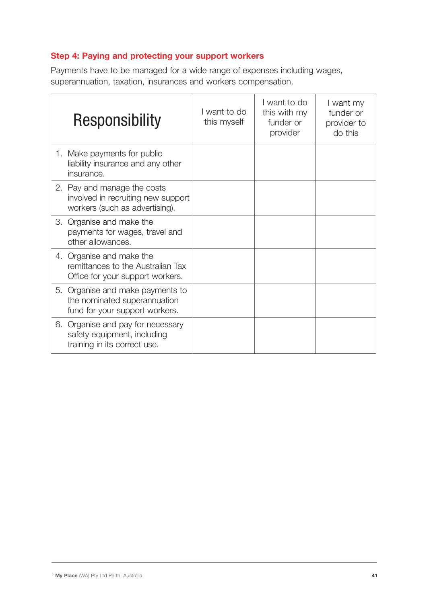#### **Step 4: Paying and protecting your support workers**

Payments have to be managed for a wide range of expenses including wages, superannuation, taxation, insurances and workers compensation.

| Responsibility                                                                                      | I want to do<br>this myself | I want to do<br>this with my<br>funder or<br>provider | I want my<br>funder or<br>provider to<br>do this |
|-----------------------------------------------------------------------------------------------------|-----------------------------|-------------------------------------------------------|--------------------------------------------------|
| 1. Make payments for public<br>liability insurance and any other<br>insurance.                      |                             |                                                       |                                                  |
| 2. Pay and manage the costs<br>involved in recruiting new support<br>workers (such as advertising). |                             |                                                       |                                                  |
| 3. Organise and make the<br>payments for wages, travel and<br>other allowances.                     |                             |                                                       |                                                  |
| 4. Organise and make the<br>remittances to the Australian Tax<br>Office for your support workers.   |                             |                                                       |                                                  |
| 5. Organise and make payments to<br>the nominated superannuation<br>fund for your support workers.  |                             |                                                       |                                                  |
| 6. Organise and pay for necessary<br>safety equipment, including<br>training in its correct use.    |                             |                                                       |                                                  |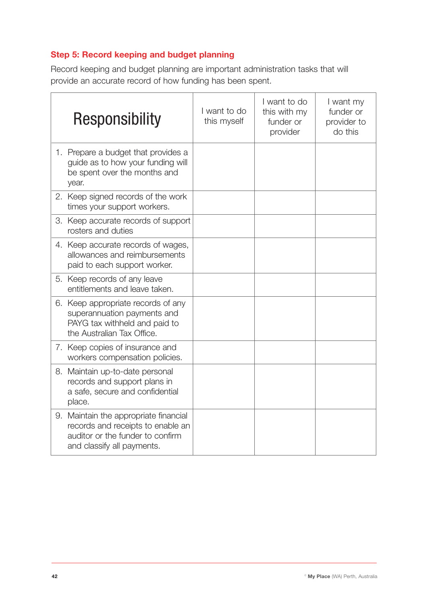#### **Step 5: Record keeping and budget planning**

Record keeping and budget planning are important administration tasks that will provide an accurate record of how funding has been spent.

| Responsibility                                                                                                                               | I want to do<br>this myself | I want to do<br>this with my<br>funder or<br>provider | I want my<br>funder or<br>provider to<br>do this |
|----------------------------------------------------------------------------------------------------------------------------------------------|-----------------------------|-------------------------------------------------------|--------------------------------------------------|
| 1. Prepare a budget that provides a<br>guide as to how your funding will<br>be spent over the months and<br>year.                            |                             |                                                       |                                                  |
| 2. Keep signed records of the work<br>times your support workers.                                                                            |                             |                                                       |                                                  |
| 3. Keep accurate records of support<br>rosters and duties                                                                                    |                             |                                                       |                                                  |
| 4. Keep accurate records of wages,<br>allowances and reimbursements<br>paid to each support worker.                                          |                             |                                                       |                                                  |
| 5. Keep records of any leave<br>entitlements and leave taken.                                                                                |                             |                                                       |                                                  |
| 6. Keep appropriate records of any<br>superannuation payments and<br>PAYG tax withheld and paid to<br>the Australian Tax Office.             |                             |                                                       |                                                  |
| 7. Keep copies of insurance and<br>workers compensation policies.                                                                            |                             |                                                       |                                                  |
| 8. Maintain up-to-date personal<br>records and support plans in<br>a safe, secure and confidential<br>place.                                 |                             |                                                       |                                                  |
| 9. Maintain the appropriate financial<br>records and receipts to enable an<br>auditor or the funder to confirm<br>and classify all payments. |                             |                                                       |                                                  |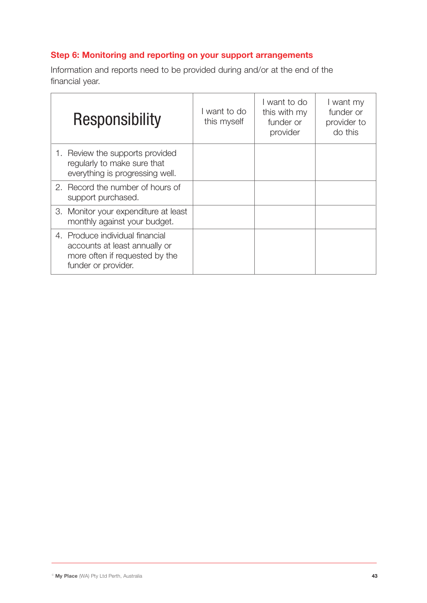#### **Step 6: Monitoring and reporting on your support arrangements**

Information and reports need to be provided during and/or at the end of the financial year.

| Responsibility                                                                                                            | I want to do<br>this myself | I want to do<br>this with my<br>funder or<br>provider | I want my<br>funder or<br>provider to<br>do this |
|---------------------------------------------------------------------------------------------------------------------------|-----------------------------|-------------------------------------------------------|--------------------------------------------------|
| 1. Review the supports provided<br>regularly to make sure that<br>everything is progressing well.                         |                             |                                                       |                                                  |
| 2. Record the number of hours of<br>support purchased.                                                                    |                             |                                                       |                                                  |
| 3. Monitor your expenditure at least<br>monthly against your budget.                                                      |                             |                                                       |                                                  |
| 4. Produce individual financial<br>accounts at least annually or<br>more often if requested by the<br>funder or provider. |                             |                                                       |                                                  |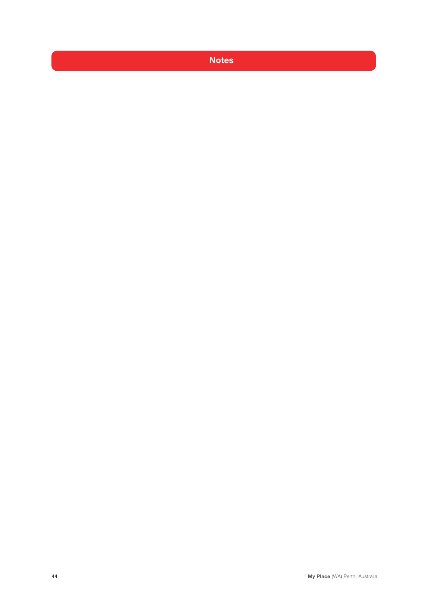**Notes**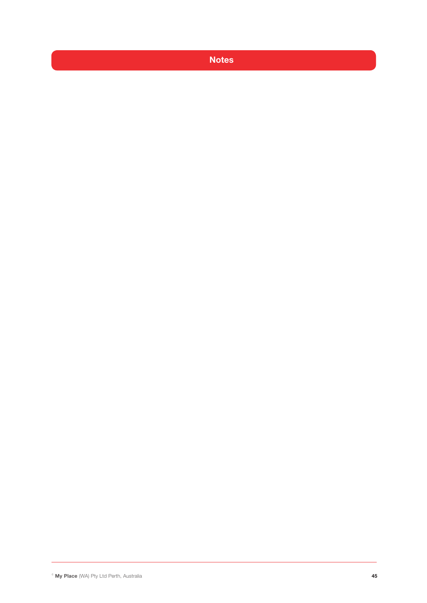**Notes**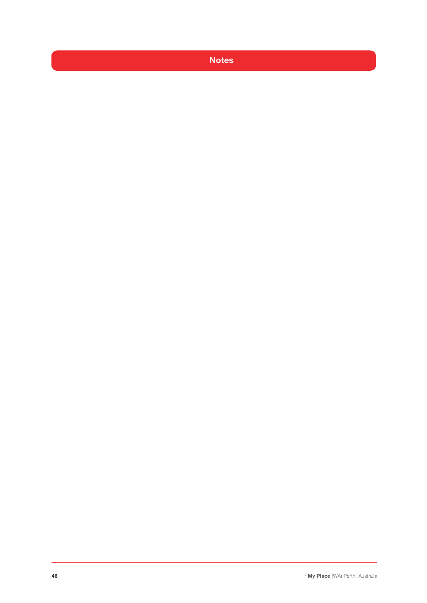**Notes**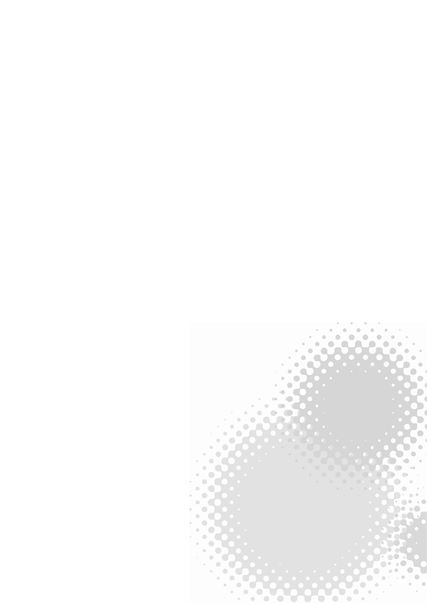